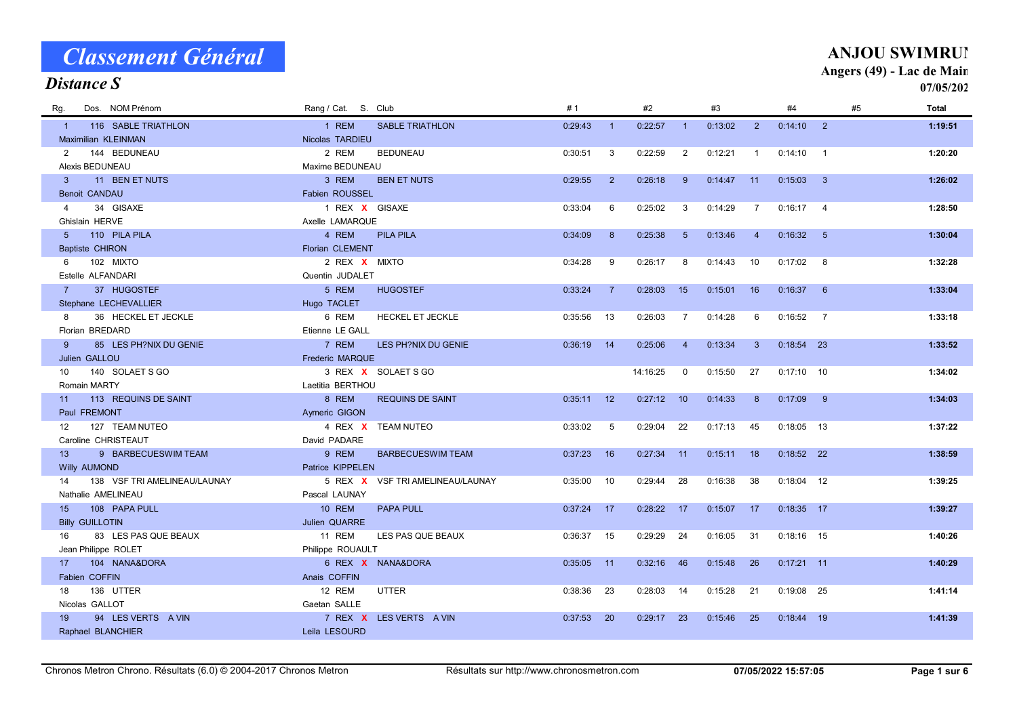| Dos. NOM Prénom<br>Rq.                | Rang / Cat. S. Club               | #1                        | #2            | #3                          | #4                                          | #5<br>Total             |
|---------------------------------------|-----------------------------------|---------------------------|---------------|-----------------------------|---------------------------------------------|-------------------------|
| 116 SABLE TRIATHLON<br>$\overline{1}$ | 1 REM<br><b>SABLE TRIATHLON</b>   | 0:29:43<br>$\overline{1}$ | 0:22:57       | 0:13:02<br>$\blacksquare$ 1 | $0:14:10$ 2<br>2                            | 1:19:51                 |
| Maximilian KLEINMAN                   | Nicolas TARDIEU                   |                           |               |                             |                                             |                         |
| 144 BEDUNEAU<br>2                     | 2 REM<br><b>BEDUNEAU</b>          | 0:30:51<br>3              | 0:22:59       | 2<br>0:12:21                | 0:14:10<br>$\overline{1}$<br>$\overline{1}$ | 1:20:20                 |
| Alexis BEDUNEAU                       | Maxime BEDUNEAU                   |                           |               |                             |                                             |                         |
| 11 BEN ET NUTS<br>$\mathbf{3}$        | 3 REM<br><b>BEN ET NUTS</b>       | 0:29:55<br>2              | 0:26:18       | $9^{\circ}$<br>0:14:47      | 11<br>0:15:03                               | $\mathbf{3}$<br>1:26:02 |
| <b>Benoit CANDAU</b>                  | Fabien ROUSSEL                    |                           |               |                             |                                             |                         |
| 34 GISAXE<br>$\overline{4}$           | 1 REX X GISAXE                    | 0:33:04<br>6              | 0:25:02       | $\mathbf{3}$<br>0:14:29     | $\overline{7}$<br>$0:16:17$ 4               | 1:28:50                 |
| Ghislain HERVE                        | Axelle LAMARQUE                   |                           |               |                             |                                             |                         |
| 5 <sup>5</sup><br>110 PILA PILA       | 4 REM<br><b>PILA PILA</b>         | 0:34:09<br>8              | 0:25:38       | 0:13:46<br>5                | 0:16:32<br>$\overline{4}$                   | 5<br>1:30:04            |
| <b>Baptiste CHIRON</b>                | Florian CLEMENT                   |                           |               |                             |                                             |                         |
| 102 MIXTO<br>6                        | 2 REX X MIXTO                     | 0:34:28<br>9              | 0:26:17       | 0:14:43<br>-8               | 10<br>0:17:02                               | 8<br>1:32:28            |
| Estelle ALFANDARI                     | Quentin JUDALET                   |                           |               |                             |                                             |                         |
| 37 HUGOSTEF<br>$7 -$                  | 5 REM<br><b>HUGOSTEF</b>          | 0:33:24<br>$\overline{7}$ | 0:28:03<br>15 | 0:15:01                     | 16<br>0:16:37                               | 6<br>1:33:04            |
| Stephane LECHEVALLIER                 | Hugo TACLET                       |                           |               |                             |                                             |                         |
| 36 HECKEL ET JECKLE<br>8              | 6 REM<br><b>HECKEL ET JECKLE</b>  | 0:35:56<br>13             | 0:26:03       | 0:14:28<br>$\overline{7}$   | 6<br>0:16:52<br>$\overline{7}$              | 1:33:18                 |
| Florian BREDARD                       | Etienne LE GALL                   |                           |               |                             |                                             |                         |
| 85 LES PH?NIX DU GENIE<br>9           | 7 REM<br>LES PH?NIX DU GENIE      | 0:36:19<br>14             | 0:25:06       | $\overline{4}$<br>0:13:34   | 3<br>$0:18:54$ 23                           | 1:33:52                 |
| Julien GALLOU                         | <b>Frederic MARQUE</b>            |                           |               |                             |                                             |                         |
| 140 SOLAET S GO<br>10                 | 3 REX X SOLAET S GO               |                           | 14:16:25      | 0:15:50<br>$\mathbf 0$      | 27<br>$0:17:10$ 10                          | 1:34:02                 |
| Romain MARTY                          | Laetitia BERTHOU                  |                           |               |                             |                                             |                         |
| 113 REQUINS DE SAINT<br>11            | 8 REM<br><b>REQUINS DE SAINT</b>  | $0:35:11$ 12              | 0:27:12<br>10 | 0:14:33                     | 0:17:09<br>9<br>8                           | 1:34:03                 |
| Paul FREMONT                          | Aymeric GIGON                     |                           |               |                             |                                             |                         |
| 127 TEAM NUTEO<br>$12 \overline{ }$   | 4 REX X TEAM NUTEO                | 0:33:02<br>5              | 0:29:04       | 22<br>0:17:13               | 45<br>$0:18:05$ 13                          | 1:37:22                 |
| Caroline CHRISTEAUT                   | David PADARE                      |                           |               |                             |                                             |                         |
| 9 BARBECUESWIM TEAM<br>13             | 9 REM<br><b>BARBECUESWIM TEAM</b> | 0:37:23<br>16             | $0:27:34$ 11  | 0:15:11                     | 18<br>$0:18:52$ 22                          | 1:38:59                 |
| <b>Willy AUMOND</b>                   | Patrice KIPPELEN                  |                           |               |                             |                                             |                         |
| 138 VSF TRI AMELINEAU/LAUNAY<br>14    | 5 REX X VSF TRI AMELINEAU/LAUNAY  | 0:35:00<br>10             | 0:29:44       | 28<br>0:16:38               | $0:18:04$ 12<br>38                          | 1:39:25                 |
| Nathalie AMELINEAU                    | Pascal LAUNAY                     |                           |               |                             |                                             |                         |
| 15<br>108 PAPA PULL                   | <b>10 REM</b><br><b>PAPA PULL</b> | $0:37:24$ 17              | $0:28:22$ 17  | 0:15:07                     | 17<br>$0:18:35$ 17                          | 1:39:27                 |
| <b>Billy GUILLOTIN</b>                | <b>Julien QUARRE</b>              |                           |               |                             |                                             |                         |
| 83 LES PAS QUE BEAUX<br>16            | 11 REM<br>LES PAS QUE BEAUX       | $0:36:37$ 15              | 0:29:29       | 24<br>0:16:05               | 31<br>$0:18:16$ 15                          | 1:40:26                 |
| Jean Philippe ROLET                   | Philippe ROUAULT                  |                           |               |                             |                                             |                         |
| 104 NANA&DORA<br>17                   | 6 REX X NANA&DORA                 | $0:35:05$ 11              | 0:32:16<br>46 | 0:15:48                     | 26<br>$0:17:21$ 11                          | 1:40:29                 |
| Fabien COFFIN                         | Anais COFFIN                      |                           |               |                             |                                             |                         |
| 136 UTTER<br>18                       | 12 REM<br><b>UTTER</b>            | $0:38:36$ 23              | $0:28:03$ 14  | 0:15:28                     | 21<br>$0:19:08$ 25                          | 1:41:14                 |
| Nicolas GALLOT                        | Gaetan SALLE                      |                           |               |                             |                                             |                         |
| 94 LES VERTS A VIN<br>19              | 7 REX X LESVERTS AVIN             | 0:37:53<br>- 20           | $0:29:17$ 23  | 0:15:46                     | 25<br>$0:18:44$ 19                          | 1:41:39                 |
| Raphael BLANCHIER                     | Leila LESOURD                     |                           |               |                             |                                             |                         |

#### Distance S

#### **ANJOU SWIMRUN** Angers (49) - Lac de Main

07/05/2022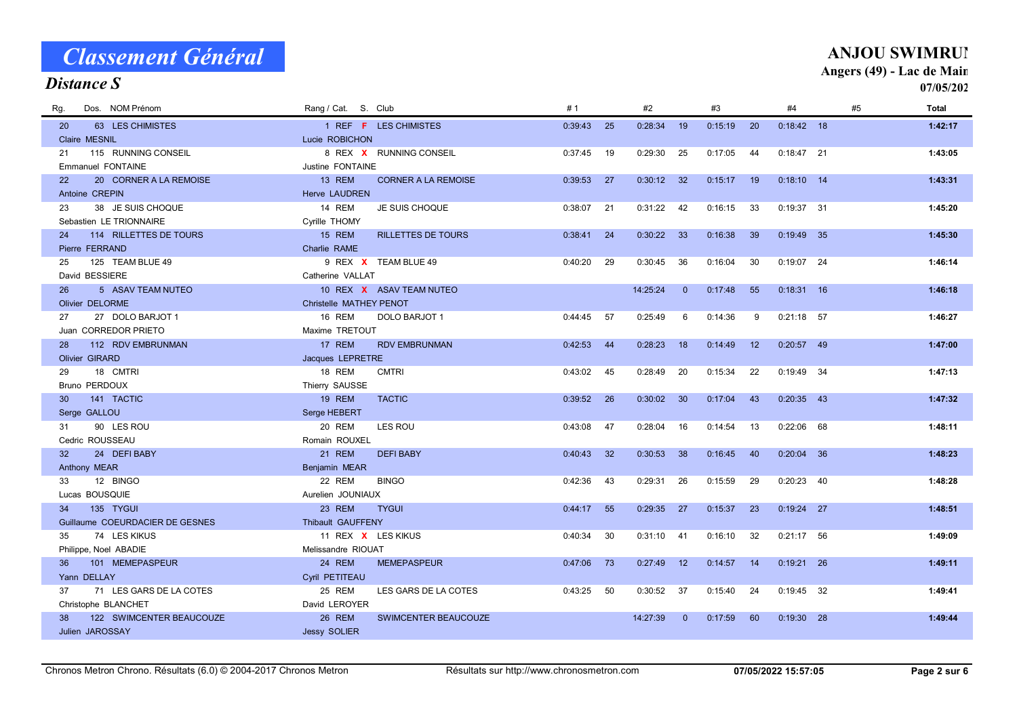| <b>Distance S</b>                   |                                             |                |                            |                |               | $\Delta$ ligul $\sigma$ $(77)$ = Lat ut mail | 07/05/202    |
|-------------------------------------|---------------------------------------------|----------------|----------------------------|----------------|---------------|----------------------------------------------|--------------|
| Dos. NOM Prénom<br>Rq.              | Rang / Cat. S. Club                         | #1             | #2                         | #3             | #4            | #5                                           | <b>Total</b> |
| 63 LES CHIMISTES<br>20 <sub>2</sub> | 1 REF F LES CHIMISTES                       | 0:39:43<br>25  | 0:28:34<br>19              | 0:15:19<br>20  | $0:18:42$ 18  |                                              | 1:42:17      |
| Claire MESNIL                       | Lucie ROBICHON                              |                |                            |                |               |                                              |              |
| 115 RUNNING CONSEIL<br>21           | 8 REX X RUNNING CONSEIL                     | 0:37:45<br>19  | 0:29:30<br>25              | 0:17:05<br>44  | $0:18:47$ 21  |                                              | 1:43:05      |
| <b>Emmanuel FONTAINE</b>            | Justine FONTAINE                            |                |                            |                |               |                                              |              |
| 20 CORNER A LA REMOISE<br>22        | <b>13 REM</b><br><b>CORNER A LA REMOISE</b> | 0:39:53<br>27  | $0:30:12$ 32               | 0:15:17<br>19  | $0:18:10$ 14  |                                              | 1:43:31      |
| Antoine CREPIN                      | <b>Herve LAUDREN</b>                        |                |                            |                |               |                                              |              |
| 38 JE SUIS CHOQUE<br>23             | 14 REM<br>JE SUIS CHOQUE                    | 0:38:07<br>21  | 0:31:22<br>42              | 0:16:15<br>33  | $0:19:37$ 31  |                                              | 1:45:20      |
| Sebastien LE TRIONNAIRE             | Cyrille THOMY                               |                |                            |                |               |                                              |              |
| 114 RILLETTES DE TOURS<br>24        | <b>15 REM</b><br><b>RILLETTES DE TOURS</b>  | 0:38:41<br>24  | 0:30:22<br>33              | 0:16:38<br>-39 | $0:19:49$ 35  |                                              | 1:45:30      |
| Pierre FERRAND                      | Charlie RAME                                |                |                            |                |               |                                              |              |
| 125 TEAM BLUE 49<br>25              | 9 REX X TEAM BLUE 49                        | 0:40:20<br>29  | 0:30:45<br>36              | 0:16:04<br>30  | $0:19:07$ 24  |                                              | 1:46:14      |
| David BESSIERE                      | Catherine VALLAT                            |                |                            |                |               |                                              |              |
| 26<br>5 ASAV TEAM NUTEO             | 10 REX X ASAV TEAM NUTEO                    |                | 14:25:24<br>$\overline{0}$ | 0:17:48<br>55  | $0:18:31$ 16  |                                              | 1:46:18      |
| <b>Olivier DELORME</b>              | Christelle MATHEY PENOT                     |                |                            |                |               |                                              |              |
| 27 DOLO BARJOT 1<br>27              | 16 REM<br>DOLO BARJOT 1                     | 0:44:45<br>57  | 0:25:49<br>6               | 0:14:36<br>9   | $0:21:18$ 57  |                                              | 1:46:27      |
| Juan CORREDOR PRIETO                | Maxime TRETOUT                              |                |                            |                |               |                                              |              |
| 112 RDV EMBRUNMAN<br>28             | 17 REM<br><b>RDV EMBRUNMAN</b>              | 0:42:53<br>44  | 0:28:23<br>18              | 0:14:49<br>12  | $0:20:57$ 49  |                                              | 1:47:00      |
| <b>Olivier GIRARD</b>               | Jacques LEPRETRE                            |                |                            |                |               |                                              |              |
| 18 CMTRI<br>29                      | <b>18 REM</b><br><b>CMTRI</b>               | 0:43:02<br>45  | 0:28:49<br>20              | 0:15:34<br>22  | $0:19:49$ 34  |                                              | 1:47:13      |
| <b>Bruno PERDOUX</b>                | Thierry SAUSSE                              |                |                            |                |               |                                              |              |
| 141 TACTIC<br>30                    | <b>19 REM</b><br><b>TACTIC</b>              | 0:39:52<br>26  | 0:30:02<br>30              | 0:17:04<br>43  | $0:20:35$ 43  |                                              | 1:47:32      |
| Serge GALLOU                        | Serge HEBERT                                |                |                            |                |               |                                              |              |
| 90 LES ROU<br>31                    | 20 REM<br>LES ROU                           | 0:43:08<br>-47 | 0:28:04<br>- 16            | 0:14:54<br>-13 | 0:22:06<br>68 |                                              | 1:48:11      |
| Cedric ROUSSEAU                     | Romain ROUXEL                               |                |                            |                |               |                                              |              |
| 32<br>24 DEFI BABY                  | 21 REM<br><b>DEFI BABY</b>                  | 0:40:43<br>32  | 0:30:53<br>38              | 0:16:45<br>40  | $0:20:04$ 36  |                                              | 1:48:23      |
| Anthony MEAR                        | Benjamin MEAR                               |                |                            |                |               |                                              |              |
| 12 BINGO<br>33                      | 22 REM<br><b>BINGO</b>                      | 0:42:36<br>43  | 0:29:31<br>26              | 0:15:59<br>29  | 0:20:23<br>40 |                                              | 1:48:28      |
| Lucas BOUSQUIE                      | Aurelien JOUNIAUX                           |                |                            |                |               |                                              |              |
| 135 TYGUI<br>34                     | 23 REM<br><b>TYGUI</b>                      | 0:44:17<br>55  | 0:29:35<br>27              | 0:15:37<br>23  | $0:19:24$ 27  |                                              | 1:48:51      |
| Guillaume COEURDACIER DE GESNES     | Thibault GAUFFENY                           |                |                            |                |               |                                              |              |
| 74 LES KIKUS<br>35                  | 11 REX X LES KIKUS                          | 0:40:34<br>30  | 0:31:10<br>41              | 0:16:10<br>-32 | $0:21:17$ 56  |                                              | 1:49:09      |
| Philippe, Noel ABADIE               | Melissandre RIOUAT                          |                |                            |                |               |                                              |              |
| 101 MEMEPASPEUR<br>36               | 24 REM<br><b>MEMEPASPEUR</b>                | $0:47:06$ 73   | 0:27:49<br>12              | 0:14:57<br>14  | $0:19:21$ 26  |                                              | 1:49:11      |
| Yann DELLAY                         | Cyril PETITEAU                              |                |                            |                |               |                                              |              |
| 71 LES GARS DE LA COTES<br>37       | 25 REM<br>LES GARS DE LA COTES              | 0:43:25<br>50  | 0:30:52<br>37              | 0:15:40<br>24  | $0:19:45$ 32  |                                              | 1:49:41      |
| Christophe BLANCHET                 | David LEROYER                               |                |                            |                |               |                                              |              |
| 122 SWIMCENTER BEAUCOUZE<br>38      | 26 REM<br><b>SWIMCENTER BEAUCOUZE</b>       |                | 14:27:39<br>$\Omega$       | 0:17:59<br>60  | $0:19:30$ 28  |                                              | 1:49:44      |
| <b>Julien JAROSSAY</b>              | <b>Jessy SOLIER</b>                         |                |                            |                |               |                                              |              |

#### **ANJOU SWIMRUN** Angers (49) - Lac de Main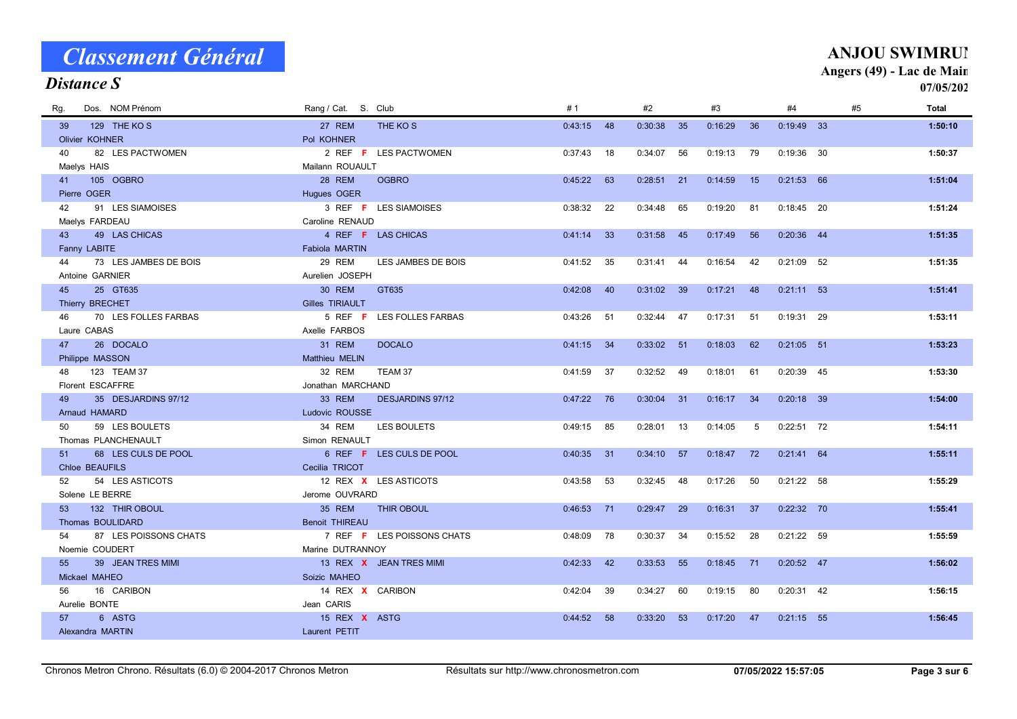| Distance S                  |                       |                                   |              |     |         |     |         |    |              |    |    | 07/05/202    |
|-----------------------------|-----------------------|-----------------------------------|--------------|-----|---------|-----|---------|----|--------------|----|----|--------------|
| Dos. NOM Prénom<br>Rg.      | Rang / Cat. S. Club   |                                   | #1           |     | #2      |     | #3      |    | #4           |    | #5 | <b>Total</b> |
| 129 THE KOS<br>39           | 27 REM                | THE KO <sub>S</sub>               | $0:43:15$ 48 |     | 0:30:38 | 35  | 0:16:29 | 36 | $0:19:49$ 33 |    |    | 1:50:10      |
| Olivier KOHNER              | Pol KOHNER            |                                   |              |     |         |     |         |    |              |    |    |              |
| 82 LES PACTWOMEN<br>40      |                       | 2 REF F LES PACTWOMEN             | 0:37:43      | 18  | 0:34:07 | 56  | 0:19:13 | 79 | 0:19:36      | 30 |    | 1:50:37      |
| Maelys HAIS                 | Mailann ROUAULT       |                                   |              |     |         |     |         |    |              |    |    |              |
| 105 OGBRO<br>41             | 28 REM                | <b>OGBRO</b>                      | 0:45:22      | 63  | 0:28:51 | 21  | 0:14:59 | 15 | $0:21:53$ 66 |    |    | 1:51:04      |
| Pierre OGER                 | Hugues OGER           |                                   |              |     |         |     |         |    |              |    |    |              |
| 91 LES SIAMOISES<br>42      |                       | 3 REF <b>F</b> LES SIAMOISES      | 0:38:32      | 22  | 0:34:48 | 65  | 0:19:20 | 81 | $0:18:45$ 20 |    |    | 1:51:24      |
| Maelys FARDEAU              | Caroline RENAUD       |                                   |              |     |         |     |         |    |              |    |    |              |
| 43<br>49 LAS CHICAS         |                       | 4 REF <b>F</b> LAS CHICAS         | 0:41:14      | -33 | 0:31:58 | 45  | 0:17:49 | 56 | $0:20:36$ 44 |    |    | 1:51:35      |
| Fanny LABITE                | <b>Fabiola MARTIN</b> |                                   |              |     |         |     |         |    |              |    |    |              |
| 73 LES JAMBES DE BOIS<br>44 | 29 REM                | LES JAMBES DE BOIS                | 0:41:52      | 35  | 0:31:41 | 44  | 0:16:54 | 42 | $0:21:09$ 52 |    |    | 1:51:35      |
| Antoine GARNIER             | Aurelien JOSEPH       |                                   |              |     |         |     |         |    |              |    |    |              |
| 25 GT635<br>45              | <b>30 REM</b>         | GT635                             | 0:42:08      | 40  | 0:31:02 | 39  | 0:17:21 | 48 | $0:21:11$ 53 |    |    | 1:51:41      |
| Thierry BRECHET             | Gilles TIRIAULT       |                                   |              |     |         |     |         |    |              |    |    |              |
| 70 LES FOLLES FARBAS<br>46  |                       | 5 REF F LES FOLLES FARBAS         | 0:43:26      | 51  | 0:32:44 | 47  | 0:17:31 | 51 | $0:19:31$ 29 |    |    | 1:53:11      |
| Laure CABAS                 | Axelle FARBOS         |                                   |              |     |         |     |         |    |              |    |    |              |
| 26 DOCALO<br>47             | 31 REM                | <b>DOCALO</b>                     | 0:41:15      | 34  | 0:33:02 | 51  | 0:18:03 | 62 | $0:21:05$ 51 |    |    | 1:53:23      |
| Philippe MASSON             | Matthieu MELIN        |                                   |              |     |         |     |         |    |              |    |    |              |
| 123 TEAM 37<br>48           | 32 REM                | TEAM 37                           | 0:41:59      | -37 | 0:32:52 | 49  | 0:18:01 | 61 | $0:20:39$ 45 |    |    | 1:53:30      |
| Florent ESCAFFRE            | Jonathan MARCHAND     |                                   |              |     |         |     |         |    |              |    |    |              |
| 35 DESJARDINS 97/12<br>49   | 33 REM                | <b>DESJARDINS 97/12</b>           | $0:47:22$ 76 |     | 0:30:04 | 31  | 0:16:17 | 34 | $0:20:18$ 39 |    |    | 1:54:00      |
| Arnaud HAMARD               | Ludovic ROUSSE        |                                   |              |     |         |     |         |    |              |    |    |              |
| 59 LES BOULETS<br>50        | 34 REM                | LES BOULETS                       | 0:49:15      | 85  | 0:28:01 | 13  | 0:14:05 | 5  | $0:22:51$ 72 |    |    | 1:54:11      |
| Thomas PLANCHENAULT         | Simon RENAULT         |                                   |              |     |         |     |         |    |              |    |    |              |
| 68 LES CULS DE POOL<br>51   |                       | 6 REF F LES CULS DE POOL          | 0:40:35      | 31  | 0:34:10 | 57  | 0:18:47 | 72 | $0:21:41$ 64 |    |    | 1:55:11      |
| <b>Chloe BEAUFILS</b>       | Cecilia TRICOT        |                                   |              |     |         |     |         |    |              |    |    |              |
| 54 LES ASTICOTS<br>52       |                       | 12 REX X LES ASTICOTS             | 0:43:58      | 53  | 0:32:45 | 48  | 0:17:26 | 50 | $0:21:22$ 58 |    |    | 1:55:29      |
| Solene LE BERRE             | Jerome OUVRARD        |                                   |              |     |         |     |         |    |              |    |    |              |
| 132 THIR OBOUL<br>53        | 35 REM                | <b>THIR OBOUL</b>                 | 0:46:53      | 71  | 0:29:47 | 29  | 0:16:31 | 37 | $0:22:32$ 70 |    |    | 1:55:41      |
| Thomas BOULIDARD            | <b>Benoit THIREAU</b> |                                   |              |     |         |     |         |    |              |    |    |              |
| 87 LES POISSONS CHATS<br>54 |                       | 7 REF <b>F</b> LES POISSONS CHATS | 0:48:09      | 78  | 0:30:37 | -34 | 0:15:52 | 28 | $0:21:22$ 59 |    |    | 1:55:59      |
| Noemie COUDERT              | Marine DUTRANNOY      |                                   |              |     |         |     |         |    |              |    |    |              |
| 39 JEAN TRES MIMI<br>55     |                       | 13 REX X JEAN TRES MIMI           | 0:42:33      | 42  | 0:33:53 | 55  | 0:18:45 | 71 | $0:20:52$ 47 |    |    | 1:56:02      |
| Mickael MAHEO               | Soizic MAHEO          |                                   |              |     |         |     |         |    |              |    |    |              |
| 56<br>16 CARIBON            | 14 REX X CARIBON      |                                   | 0:42:04      | 39  | 0:34:27 | 60  | 0:19:15 | 80 | $0:20:31$ 42 |    |    | 1:56:15      |
| Aurelie BONTE               | Jean CARIS            |                                   |              |     |         |     |         |    |              |    |    |              |
| 57<br>6 ASTG                | 15 REX X ASTG         |                                   | 0:44:52      | 58  | 0:33:20 | 53  | 0:17:20 | 47 | $0:21:15$ 55 |    |    | 1:56:45      |
| Alexandra MARTIN            | Laurent PETIT         |                                   |              |     |         |     |         |    |              |    |    |              |

#### Distance S

#### **ANJOU SWIMRUN** Angers (49) - Lac de Main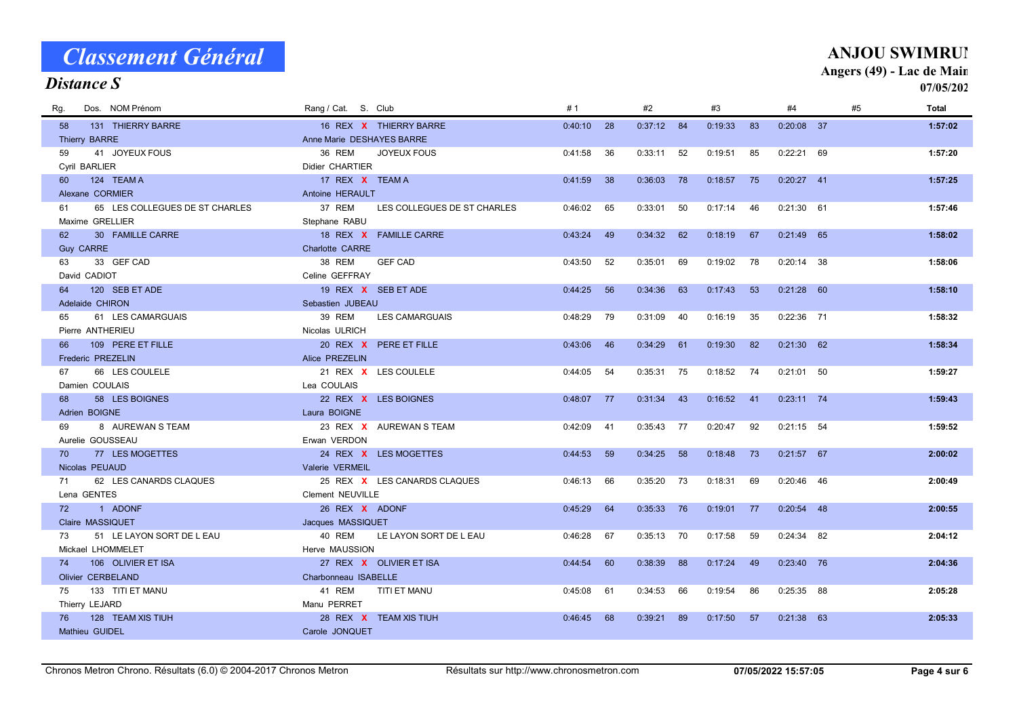#### Rg. NOM Prénom Cat. Dos. Rang / S. Club # 1 #3 #5 Total Distance S #2 #4 07/05/2022 58 131 REX THIERRY BARRE THIERRY BARRE 16 0:19:33 X 0:40:10 28 84 83 37 0:37:12 0:20:08 1:57:02 Thierry BARRE Anne Marie DESHAYES BARRE 59 41 JOYEUX FOUS 36 REM JOYEUX FOUS 0:41:58 36 0:33:11 52 0:19:51 85 0:22:21 69 1**:57:20** Cyril BARLIER **Didier CHARTIER** 60 124 TEAM A 1:57:25 17 REX X TEAM A 1.57:25 17 A 2:41:59 38 0:36:03 78 0:18:57 75 0:20:27 41 Alexane CORMIER Antoine HERAULT 61 65 LES COLLEGUES DE ST CHARLES 37 REM LES COLLEGUES DE ST CHARLES 0:46:02 65 0:33:01 50 0:17:14 46 0:21:30 61 1:57:46 Maxime GRELLIER Stephane RABU 62 30 FAMILLE CARRE TABLE TO A STRING THE REX X FAMILLE CARRE TABLE 19:34:24 49 0:34:32 62 0:18:19 67 0:21:49 65 1:58:02 Guy CARRE CARRE CARRE CARRE COMPANY CHARLOTS CONTROL CARRE 63 33 REM GEF CAD GEF CAD 38 0:19:02 0:43:50 52 69 78 38 0:35:01 0:20:14 1:58:06 David CADIOT Celine GEFFRAY 64 120 SEB ET ADE 19 REX <mark>X</mark> SEB ET ADE 0:44:25 56 0:34:36 63 0:17:43 53 0:21:28 60 **1:58:10** Adelaide CHIRON Sebastien JUBEAU 65 61 REM LES CAMARGUAIS LES CAMARGUAIS 39 0:16:19 0:48:29 79 40 35 71 0:31:09 0:22:36 1:58:32 Pierre ANTHERIEU Nicolas ULRICH 66 109 PERE ET FILLE 20 20 REX X PERE ET FILLE 20 20 20:30 20 0:43:06 46 0:34:29 61 0:19:30 82 0:21:30 62 1:58:34 Frederic PREZELIN Alice PREZELIN 67 66 LES COULELE 21 NEX X LES COULELE 2014:05 54 0:35:31 75 0:18:52 74 0:21:01 50 1:59:27 Damien COULAIS **Lea COULAIS** 68 58 REX LES BOIGNES LES BOIGNES 22 0:16:52 X 0:48:07 77 43 41 74 0:31:34 0:23:11 1:59:43 Adrien BOIGNE Laura BOIGNE 69 8 AUREWAN S TEAM 23 REX X AUREWAN S TEAM  $0.42.09$  41  $0.35:43$  77  $0.20:47$  92  $0.21:15$  54 1:59:52 Aurelie GOUSSEAU **Erwan VERDON** 70 77 LES MOGETTES 2:00:02 24 REX X LES MOGETTES 2:04:53 59 0:34:25 58 0:18:48 73 0:21:57 67 2:00:02 Nicolas PEUAUD **Valerie VERMEIL** 71 62 LES CANARDS CLAQUES 25 REX X LES CANARDS CLAQUES  $0.46:13$  66  $0.35:20$  73  $0.18:31$  69  $0.20:46$  46 2:00:49 Lena GENTES Clement NEUVILLE 72 1 REX ADONF ADONF 26 0:19:01 X 0:45:29 64 76 77 48 0:35:33 0:20:54 2:00:55 Claire MASSIQUET **Jacques MASSIQUET** 73 51 LE LAYON SORT DE LEAU 40 REM LE LAYON SORT DE LEAU 69 0:46:28 67 0:35:13 70 0:17:58 59 0:24:34 82 2:04:12 Mickael LHOMMELET **Herve MAUSSION** 74 106 REX OLIVIER ET ISA OLIVIER ET ISA 27 0:17:24 X 0:44:54 60 88 49 76 0:38:39 0:23:40 2:04:36 Olivier CERBELAND Charbonneau ISABELLE 75 133 REM TITI ET MANU TITI ET MANU 41 0:19:54 0:45:08 61 66 86 88 0:34:53 0:25:35 2:05:28 Thierry LEJARD Manu PERRET 76 128 REX TEAM XIS TIUH TEAM XIS TIUH 28 0:17:50 X 0:46:45 68 89 57 63 0:39:21 0:21:38 2:05:33 Mathieu GUIDEL Carole JONQUET

Classement Général

### **ANJOU SWIMRUN**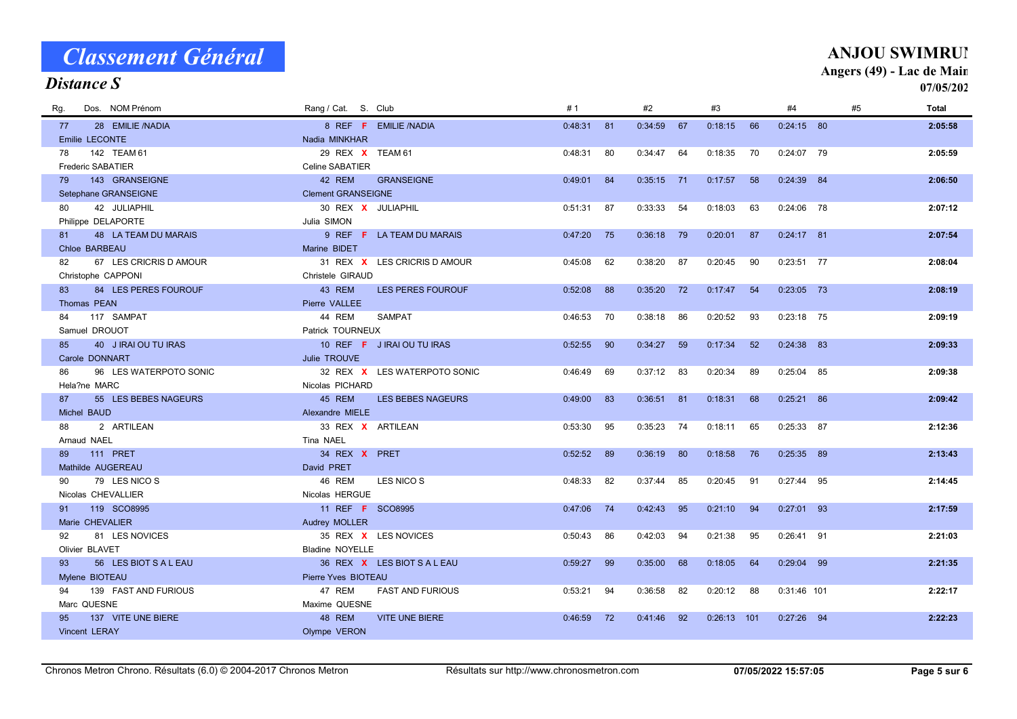#### Distance S

#### **ANJOU SWIMRUN**

Angers (49) - Lac de Main

| Dos. NOM Prénom<br>Rq.       | Rang / Cat. S. Club                | #1      | #2                   | #3            | #4            | #5<br>Total |
|------------------------------|------------------------------------|---------|----------------------|---------------|---------------|-------------|
| 28 EMILIE /NADIA<br>77       | 8 REF F EMILIE /NADIA              | 0:48:31 | 0:34:59<br>81<br>67  | 0:18:15<br>66 | $0:24:15$ 80  | 2:05:58     |
| Emilie LECONTE               | Nadia MINKHAR                      |         |                      |               |               |             |
| 142 TEAM 61<br>78            | 29 REX X TEAM 61                   | 0:48:31 | 80<br>0:34:47<br>64  | 0:18:35<br>70 | $0:24:07$ 79  | 2:05:59     |
| <b>Frederic SABATIER</b>     | Celine SABATIER                    |         |                      |               |               |             |
| 143 GRANSEIGNE<br>79         | 42 REM<br><b>GRANSEIGNE</b>        | 0:49:01 | 84<br>0:35:15<br>71  | 0:17:57<br>58 | $0:24:39$ 84  | 2:06:50     |
| Setephane GRANSEIGNE         | <b>Clement GRANSEIGNE</b>          |         |                      |               |               |             |
| 42 JULIAPHIL<br>80           | 30 REX X JULIAPHIL                 | 0:51:31 | 87<br>0:33:33<br>54  | 0:18:03<br>63 | $0:24:06$ 78  | 2:07:12     |
| Philippe DELAPORTE           | Julia SIMON                        |         |                      |               |               |             |
| 48 LA TEAM DU MARAIS<br>81   | 9 REF F LA TEAM DU MARAIS          | 0:47:20 | 75<br>0:36:18<br>79  | 0:20:01<br>87 | $0:24:17$ 81  | 2:07:54     |
| Chloe BARBEAU                | Marine BIDET                       |         |                      |               |               |             |
| 67 LES CRICRIS D AMOUR<br>82 | 31 REX X LES CRICRIS D AMOUR       | 0:45:08 | 62<br>0:38:20<br>87  | 0:20:45<br>90 | $0:23:51$ 77  | 2:08:04     |
| Christophe CAPPONI           | Christele GIRAUD                   |         |                      |               |               |             |
| 84 LES PERES FOUROUF<br>83   | 43 REM<br>LES PERES FOUROUF        | 0:52:08 | 88<br>0:35:20<br>72  | 0:17:47<br>54 | $0:23:05$ 73  | 2:08:19     |
| Thomas PEAN                  | Pierre VALLEE                      |         |                      |               |               |             |
| 117 SAMPAT<br>84             | 44 REM<br><b>SAMPAT</b>            | 0:46:53 | 70<br>86<br>0:38:18  | 0:20:52<br>93 | $0:23:18$ 75  | 2:09:19     |
| Samuel DROUOT                | Patrick TOURNEUX                   |         |                      |               |               |             |
| 40 J IRAI OU TU IRAS<br>85   | 10 REF F J IRAI OU TU IRAS         | 0:52:55 | 90<br>0:34:27<br>59  | 0:17:34<br>52 | 0:24:38<br>83 | 2:09:33     |
| Carole DONNART               | Julie TROUVE                       |         |                      |               |               |             |
| 96 LES WATERPOTO SONIC<br>86 | 32 REX X LES WATERPOTO SONIC       | 0:46:49 | 0:37:12<br>69<br>-83 | 0:20:34<br>89 | 0:25:04<br>85 | 2:09:38     |
| Hela?ne MARC                 | Nicolas PICHARD                    |         |                      |               |               |             |
| 55 LES BEBES NAGEURS<br>87   | 45 REM<br><b>LES BEBES NAGEURS</b> | 0:49:00 | 83<br>0:36:51<br>81  | 0:18:31<br>68 | $0:25:21$ 86  | 2:09:42     |
| Michel BAUD                  | Alexandre MIELE                    |         |                      |               |               |             |
| 2 ARTILEAN<br>88             | 33 REX X ARTILEAN                  | 0:53:30 | 95<br>0:35:23<br>74  | 0:18:11<br>65 | 0:25:33 87    | 2:12:36     |
| Arnaud NAEL                  | Tina NAEL                          |         |                      |               |               |             |
| <b>111 PRET</b><br>89        | 34 REX X PRET                      | 0:52:52 | 89<br>0:36:19<br>80  | 0:18:58<br>76 | 0:25:35<br>89 | 2:13:43     |
| Mathilde AUGEREAU            | David PRET                         |         |                      |               |               |             |
| 79 LES NICO S<br>90          | 46 REM<br>LES NICO S               | 0:48:33 | 82<br>0:37:44<br>85  | 0:20:45<br>91 | 0:27:44<br>95 | 2:14:45     |
| Nicolas CHEVALLIER           | Nicolas HERGUE                     |         |                      |               |               |             |
| 119 SCO8995<br>91            | 11 REF <b>F</b> SCO8995            | 0:47:06 | 74<br>0:42:43<br>95  | 0:21:10<br>94 | $0:27:01$ 93  | 2:17:59     |
| Marie CHEVALIER              | Audrey MOLLER                      |         |                      |               |               |             |
| 81 LES NOVICES<br>92         | 35 REX X LES NOVICES               | 0:50:43 | 86<br>0:42:03<br>94  | 0:21:38<br>95 | $0:26:41$ 91  | 2:21:03     |
| Olivier BLAVET               | <b>Bladine NOYELLE</b>             |         |                      |               |               |             |
| 56 LES BIOT S A L EAU<br>93  | 36 REX X LES BIOT SALEAU           | 0:59:27 | 99<br>0:35:00<br>68  | 0:18:05<br>64 | $0:29:04$ 99  | 2:21:35     |
| Mylene BIOTEAU               | Pierre Yves BIOTEAU                |         |                      |               |               |             |
| 139 FAST AND FURIOUS<br>94   | 47 REM<br><b>FAST AND FURIOUS</b>  | 0:53:21 | 0:36:58<br>82<br>94  | 0:20:12<br>88 | 0:31:46 101   | 2:22:17     |
| Marc QUESNE                  | Maxime QUESNE                      |         |                      |               |               |             |
| 137 VITE UNE BIERE<br>95     | 48 REM<br><b>VITE UNE BIERE</b>    | 0:46:59 | 72<br>92<br>0:41:46  | $0:26:13$ 101 | $0:27:26$ 94  | 2:22:23     |
| Vincent LERAY                | Olympe VERON                       |         |                      |               |               |             |